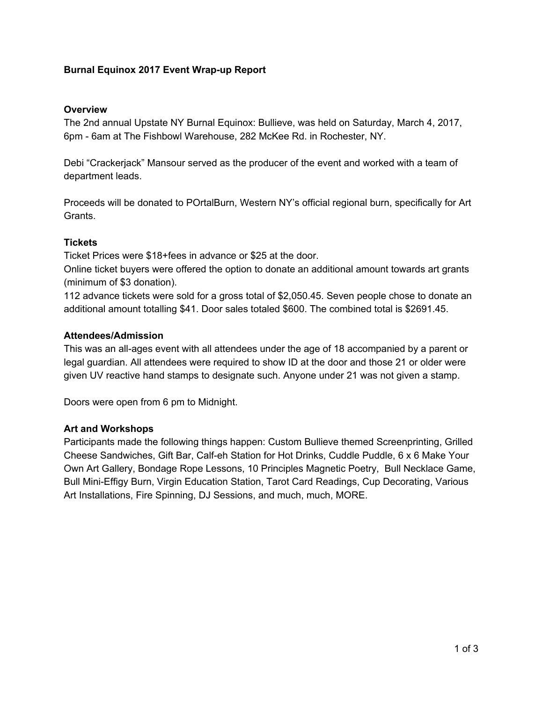## **Burnal Equinox 2017 Event Wrap-up Report**

#### **Overview**

The 2nd annual Upstate NY Burnal Equinox: Bullieve, was held on Saturday, March 4, 2017, 6pm - 6am at The Fishbowl Warehouse, 282 McKee Rd. in Rochester, NY.

Debi "Crackerjack" Mansour served as the producer of the event and worked with a team of department leads.

Proceeds will be donated to POrtalBurn, Western NY's official regional burn, specifically for Art Grants.

### **Tickets**

Ticket Prices were \$18+fees in advance or \$25 at the door.

Online ticket buyers were offered the option to donate an additional amount towards art grants (minimum of \$3 donation).

112 advance tickets were sold for a gross total of \$2,050.45. Seven people chose to donate an additional amount totalling \$41. Door sales totaled \$600. The combined total is \$2691.45.

#### **Attendees/Admission**

This was an all-ages event with all attendees under the age of 18 accompanied by a parent or legal guardian. All attendees were required to show ID at the door and those 21 or older were given UV reactive hand stamps to designate such. Anyone under 21 was not given a stamp.

Doors were open from 6 pm to Midnight.

### **Art and Workshops**

Participants made the following things happen: Custom Bullieve themed Screenprinting, Grilled Cheese Sandwiches, Gift Bar, Calf-eh Station for Hot Drinks, Cuddle Puddle, 6 x 6 Make Your Own Art Gallery, Bondage Rope Lessons, 10 Principles Magnetic Poetry, Bull Necklace Game, Bull Mini-Effigy Burn, Virgin Education Station, Tarot Card Readings, Cup Decorating, Various Art Installations, Fire Spinning, DJ Sessions, and much, much, MORE.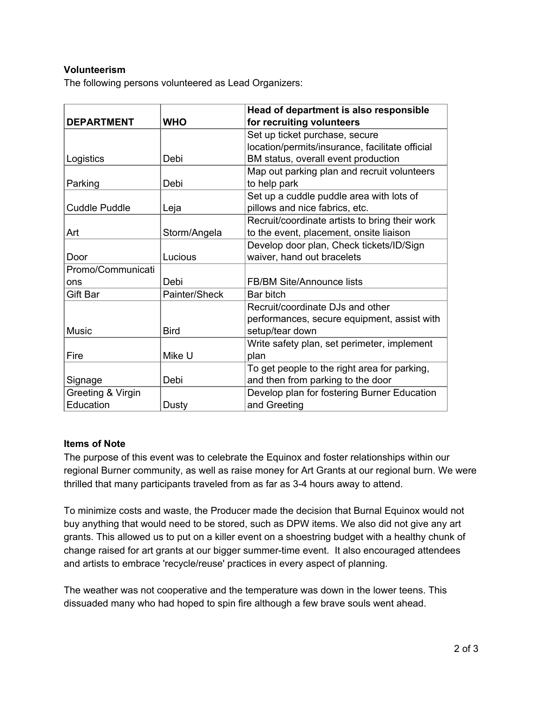# **Volunteerism**

The following persons volunteered as Lead Organizers:

|                      |               | Head of department is also responsible          |  |  |
|----------------------|---------------|-------------------------------------------------|--|--|
| <b>DEPARTMENT</b>    | <b>WHO</b>    | for recruiting volunteers                       |  |  |
|                      |               | Set up ticket purchase, secure                  |  |  |
|                      |               | location/permits/insurance, facilitate official |  |  |
| Logistics            | Debi          | BM status, overall event production             |  |  |
|                      |               | Map out parking plan and recruit volunteers     |  |  |
| Parking              | Debi          | to help park                                    |  |  |
|                      |               | Set up a cuddle puddle area with lots of        |  |  |
| <b>Cuddle Puddle</b> | Leja          | pillows and nice fabrics, etc.                  |  |  |
|                      |               | Recruit/coordinate artists to bring their work  |  |  |
| Art                  | Storm/Angela  | to the event, placement, onsite liaison         |  |  |
|                      |               | Develop door plan, Check tickets/ID/Sign        |  |  |
| Door                 | Lucious       | waiver, hand out bracelets                      |  |  |
| Promo/Communicati    |               |                                                 |  |  |
| ons                  | Debi          | <b>FB/BM Site/Announce lists</b>                |  |  |
| Gift Bar             | Painter/Sheck | Bar bitch                                       |  |  |
|                      |               | Recruit/coordinate DJs and other                |  |  |
|                      |               | performances, secure equipment, assist with     |  |  |
| <b>Music</b>         | <b>Bird</b>   | setup/tear down                                 |  |  |
|                      |               | Write safety plan, set perimeter, implement     |  |  |
| Fire                 | Mike U        | plan                                            |  |  |
|                      |               | To get people to the right area for parking,    |  |  |
| Signage              | Debi          | and then from parking to the door               |  |  |
| Greeting & Virgin    |               | Develop plan for fostering Burner Education     |  |  |
| Education            | Dusty         | and Greeting                                    |  |  |

### **Items of Note**

The purpose of this event was to celebrate the Equinox and foster relationships within our regional Burner community, as well as raise money for Art Grants at our regional burn. We were thrilled that many participants traveled from as far as 3-4 hours away to attend.

To minimize costs and waste, the Producer made the decision that Burnal Equinox would not buy anything that would need to be stored, such as DPW items. We also did not give any art grants. This allowed us to put on a killer event on a shoestring budget with a healthy chunk of change raised for art grants at our bigger summer-time event. It also encouraged attendees and artists to embrace 'recycle/reuse' practices in every aspect of planning.

The weather was not cooperative and the temperature was down in the lower teens. This dissuaded many who had hoped to spin fire although a few brave souls went ahead.